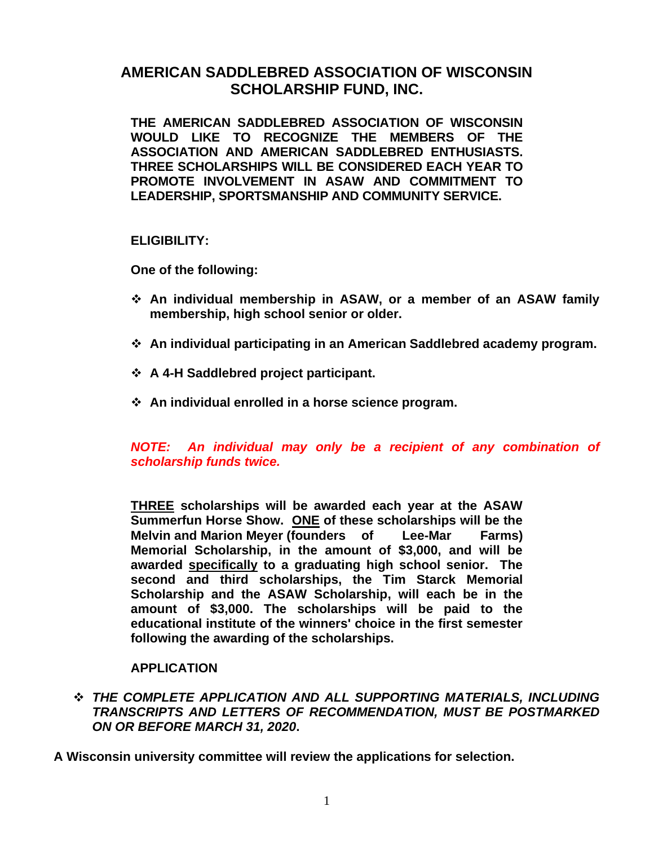# **AMERICAN SADDLEBRED ASSOCIATION OF WISCONSIN SCHOLARSHIP FUND, INC.**

**THE AMERICAN SADDLEBRED ASSOCIATION OF WISCONSIN WOULD LIKE TO RECOGNIZE THE MEMBERS OF THE ASSOCIATION AND AMERICAN SADDLEBRED ENTHUSIASTS. THREE SCHOLARSHIPS WILL BE CONSIDERED EACH YEAR TO PROMOTE INVOLVEMENT IN ASAW AND COMMITMENT TO LEADERSHIP, SPORTSMANSHIP AND COMMUNITY SERVICE.**

**ELIGIBILITY:**

**One of the following:**

- ❖ **An individual membership in ASAW, or a member of an ASAW family membership, high school senior or older.**
- ❖ **An individual participating in an American Saddlebred academy program.**
- ❖ **A 4-H Saddlebred project participant.**
- ❖ **An individual enrolled in a horse science program.**

*NOTE: An individual may only be a recipient of any combination of scholarship funds twice.*

**THREE scholarships will be awarded each year at the ASAW Summerfun Horse Show. ONE of these scholarships will be the Melvin and Marion Meyer (founders of Lee-Mar Farms) Memorial Scholarship, in the amount of \$3,000, and will be awarded specifically to a graduating high school senior. The second and third scholarships, the Tim Starck Memorial Scholarship and the ASAW Scholarship, will each be in the amount of \$3,000. The scholarships will be paid to the educational institute of the winners' choice in the first semester following the awarding of the scholarships.**

#### **APPLICATION**

❖ *THE COMPLETE APPLICATION AND ALL SUPPORTING MATERIALS, INCLUDING TRANSCRIPTS AND LETTERS OF RECOMMENDATION, MUST BE POSTMARKED ON OR BEFORE MARCH 31, 2020***.** 

**A Wisconsin university committee will review the applications for selection.**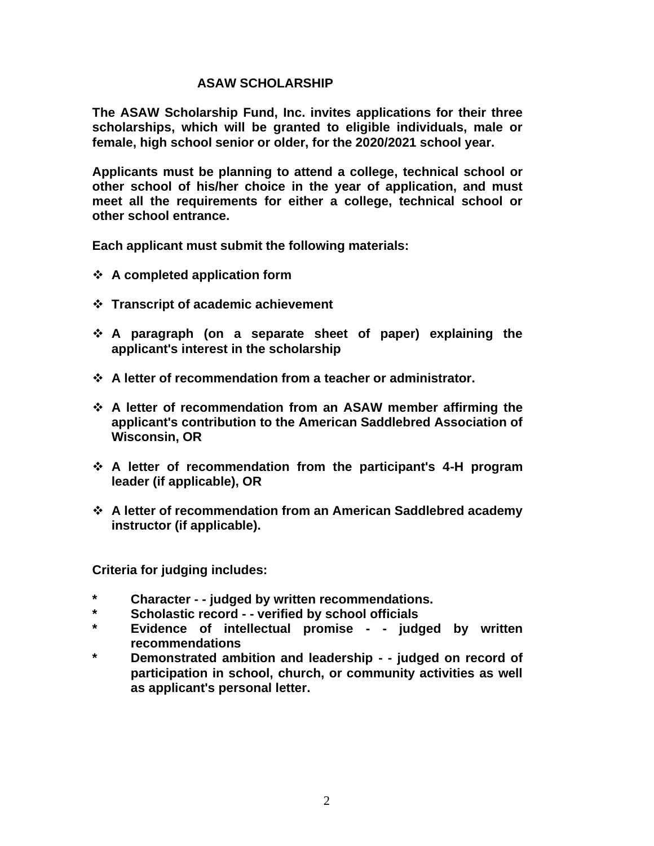### **ASAW SCHOLARSHIP**

**The ASAW Scholarship Fund, Inc. invites applications for their three scholarships, which will be granted to eligible individuals, male or female, high school senior or older, for the 2020/2021 school year.**

**Applicants must be planning to attend a college, technical school or other school of his/her choice in the year of application, and must meet all the requirements for either a college, technical school or other school entrance.**

**Each applicant must submit the following materials:**

- ❖ **A completed application form**
- ❖ **Transcript of academic achievement**
- ❖ **A paragraph (on a separate sheet of paper) explaining the applicant's interest in the scholarship**
- ❖ **A letter of recommendation from a teacher or administrator.**
- ❖ **A letter of recommendation from an ASAW member affirming the applicant's contribution to the American Saddlebred Association of Wisconsin, OR**
- ❖ **A letter of recommendation from the participant's 4-H program leader (if applicable), OR**
- ❖ **A letter of recommendation from an American Saddlebred academy instructor (if applicable).**

**Criteria for judging includes:**

- **\* Character - - judged by written recommendations.**
- **\* Scholastic record - - verified by school officials**
- **\* Evidence of intellectual promise - - judged by written recommendations**
- **\* Demonstrated ambition and leadership - - judged on record of participation in school, church, or community activities as well as applicant's personal letter.**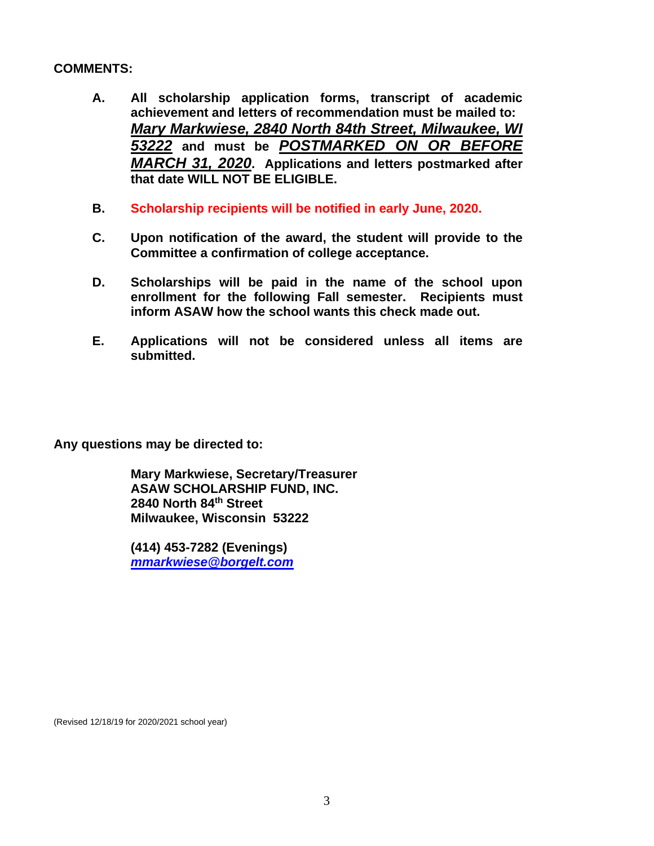## **COMMENTS:**

- **A. All scholarship application forms, transcript of academic achievement and letters of recommendation must be mailed to:** *Mary Markwiese, 2840 North 84th Street, Milwaukee, WI 53222* **and must be** *POSTMARKED ON OR BEFORE MARCH 31, 2020***. Applications and letters postmarked after that date WILL NOT BE ELIGIBLE.**
- **B. Scholarship recipients will be notified in early June, 2020.**
- **C. Upon notification of the award, the student will provide to the Committee a confirmation of college acceptance.**
- **D. Scholarships will be paid in the name of the school upon enrollment for the following Fall semester. Recipients must inform ASAW how the school wants this check made out.**
- **E. Applications will not be considered unless all items are submitted.**

**Any questions may be directed to:**

**Mary Markwiese, Secretary/Treasurer ASAW SCHOLARSHIP FUND, INC. 2840 North 84th Street Milwaukee, Wisconsin 53222**

**(414) 453-7282 (Evenings)** *[mmarkwiese@borgelt.com](mailto:mmarkwiese@borgelt.com)*

(Revised 12/18/19 for 2020/2021 school year)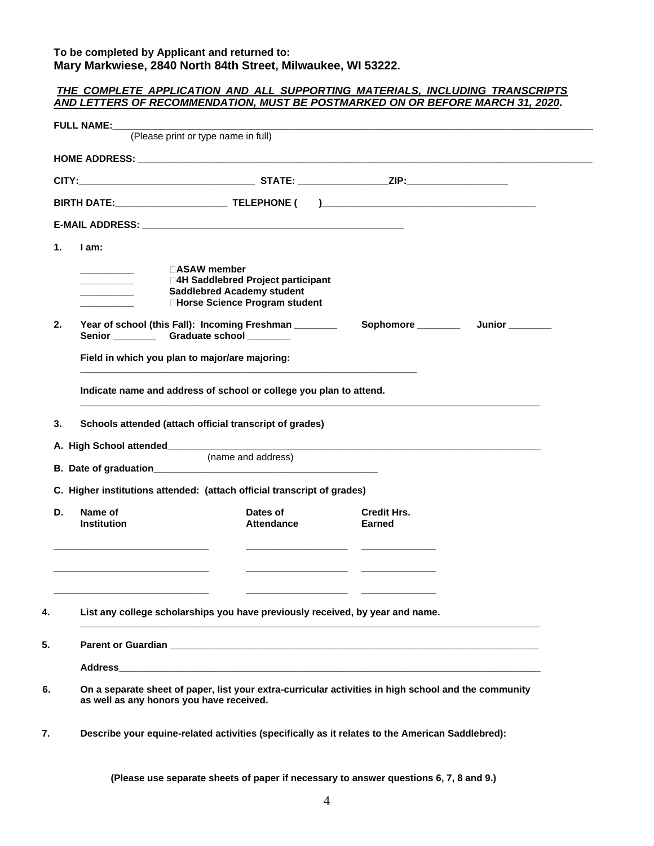#### **To be completed by Applicant and returned to: Mary Markwiese, 2840 North 84th Street, Milwaukee, WI 53222.**

|                                                 | (Please print or type name in full)                                           |                              |                  |
|-------------------------------------------------|-------------------------------------------------------------------------------|------------------------------|------------------|
|                                                 |                                                                               |                              |                  |
|                                                 |                                                                               |                              |                  |
|                                                 |                                                                               |                              |                  |
| 1.<br>I am:                                     |                                                                               |                              |                  |
|                                                 | $\Box$ ASAW member                                                            |                              |                  |
| the control of the control of                   | □4H Saddlebred Project participant                                            |                              |                  |
|                                                 | <b>Saddlebred Academy student</b><br>□Horse Science Program student           |                              |                  |
| 2.                                              | Year of school (this Fall): Incoming Freshman ________                        |                              | Sophomore Junior |
| Senior ______________Graduate school __________ |                                                                               |                              |                  |
| Field in which you plan to major/are majoring:  |                                                                               |                              |                  |
|                                                 |                                                                               |                              |                  |
|                                                 | Indicate name and address of school or college you plan to attend.            |                              |                  |
| 3.                                              | Schools attended (attach official transcript of grades)                       |                              |                  |
|                                                 |                                                                               |                              |                  |
|                                                 | (name and address)                                                            |                              |                  |
|                                                 |                                                                               |                              |                  |
|                                                 | C. Higher institutions attended: (attach official transcript of grades)       |                              |                  |
| D.<br>Name of<br><b>Institution</b>             | Dates of<br>Attendance                                                        | <b>Credit Hrs.</b><br>Earned |                  |
|                                                 |                                                                               |                              |                  |
|                                                 |                                                                               |                              |                  |
|                                                 |                                                                               |                              |                  |
|                                                 |                                                                               |                              |                  |
|                                                 |                                                                               |                              |                  |
|                                                 | List any college scholarships you have previously received, by year and name. |                              |                  |
|                                                 |                                                                               |                              |                  |
|                                                 |                                                                               |                              |                  |
|                                                 |                                                                               |                              |                  |

**(Please use separate sheets of paper if necessary to answer questions 6, 7, 8 and 9.)**